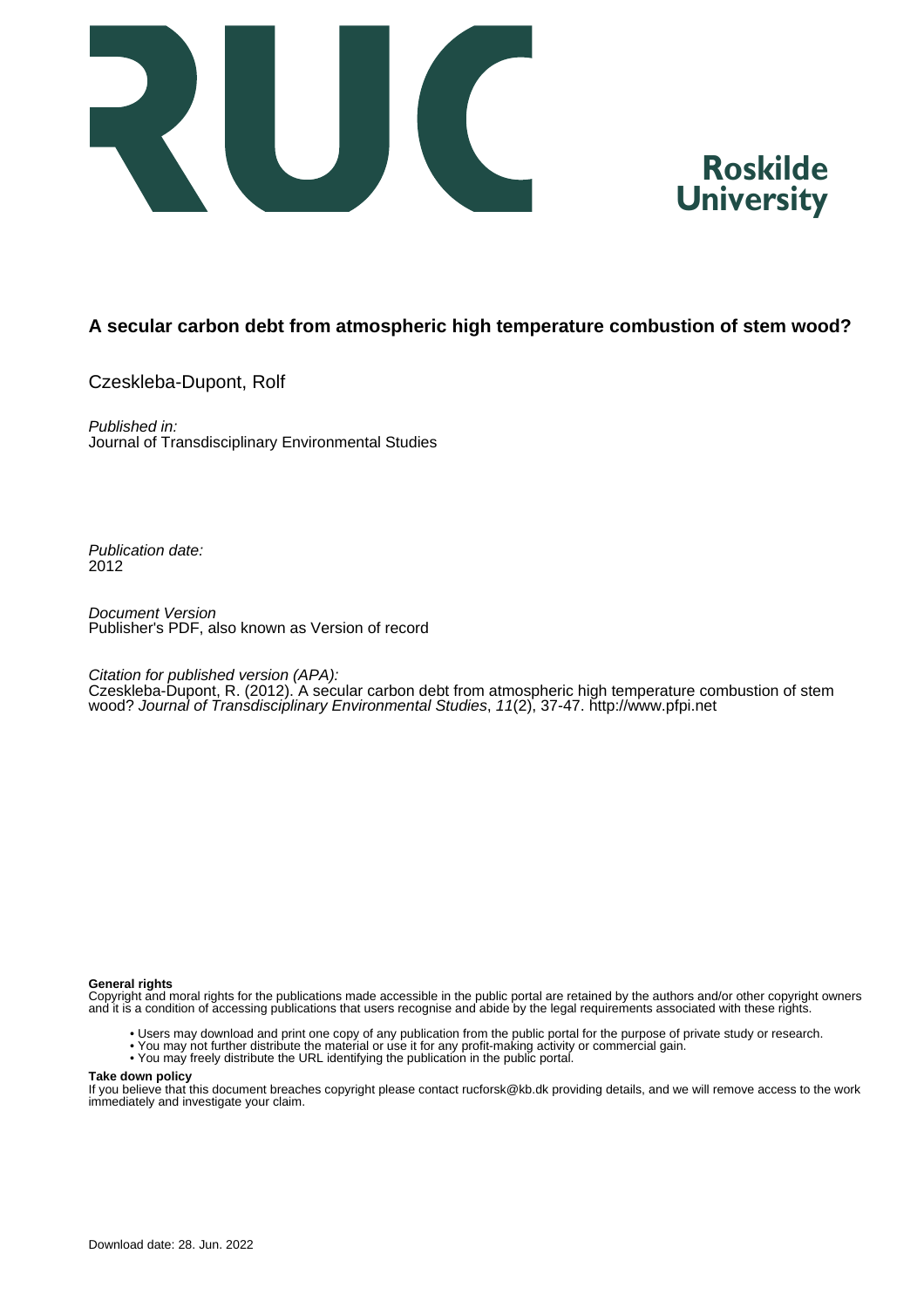



#### **A secular carbon debt from atmospheric high temperature combustion of stem wood?**

Czeskleba-Dupont, Rolf

Published in: Journal of Transdisciplinary Environmental Studies

Publication date: 2012

Document Version Publisher's PDF, also known as Version of record

Citation for published version (APA):

Czeskleba-Dupont, R. (2012). A secular carbon debt from atmospheric high temperature combustion of stem wood? Journal of Transdisciplinary Environmental Studies, 11(2), 37-47.<http://www.pfpi.net>

#### **General rights**

Copyright and moral rights for the publications made accessible in the public portal are retained by the authors and/or other copyright owners and it is a condition of accessing publications that users recognise and abide by the legal requirements associated with these rights.

- Users may download and print one copy of any publication from the public portal for the purpose of private study or research.
- You may not further distribute the material or use it for any profit-making activity or commercial gain.
- You may freely distribute the URL identifying the publication in the public portal.

#### **Take down policy**

If you believe that this document breaches copyright please contact rucforsk@kb.dk providing details, and we will remove access to the work immediately and investigate your claim.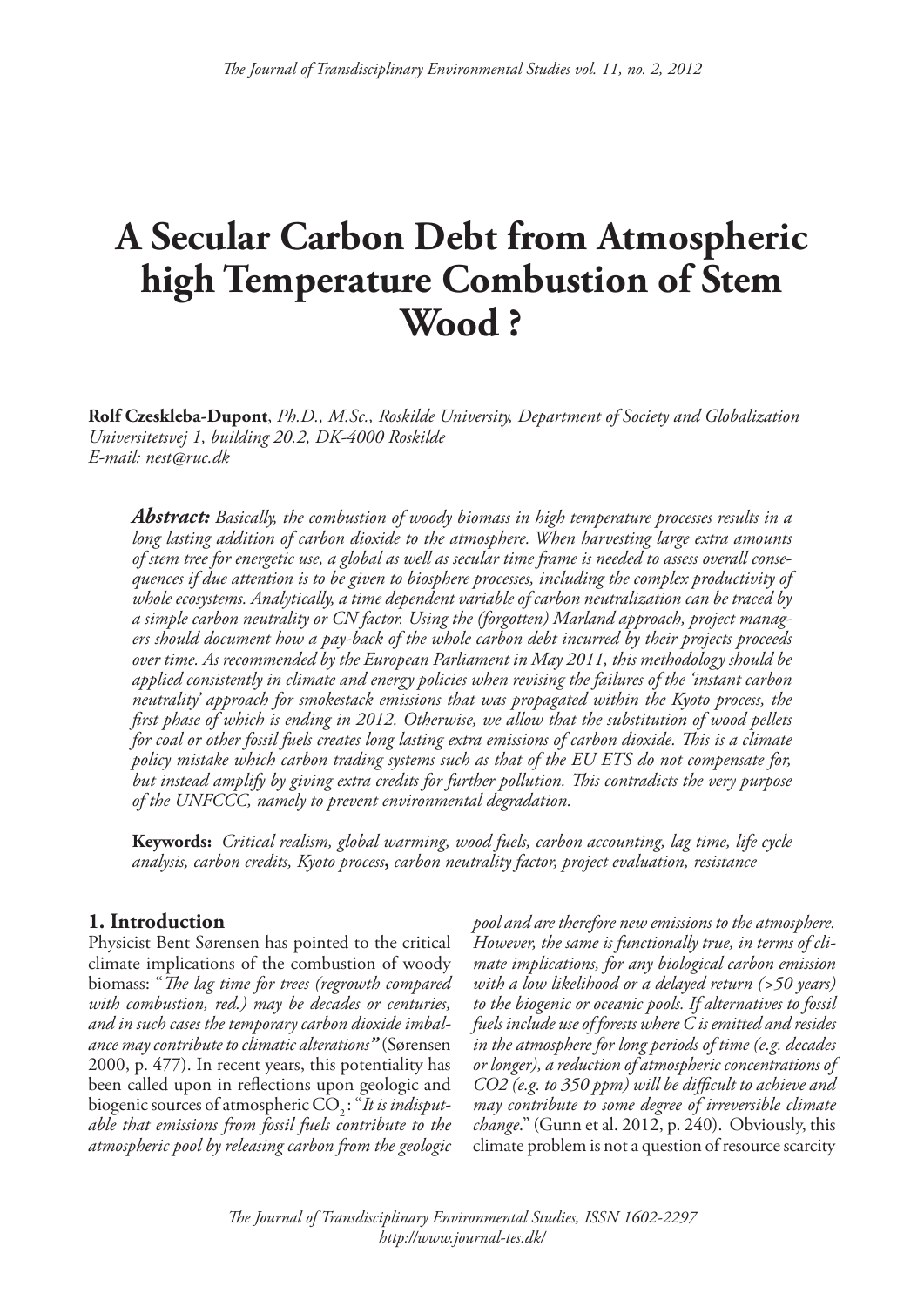# **A Secular Carbon Debt from Atmospheric high Temperature Combustion of Stem Wood ?**

**Rolf Czeskleba-Dupont**, *Ph.D., M.Sc., Roskilde University, Department of Society and Globalization Universitetsvej 1, building 20.2, DK-4000 Roskilde E-mail: nest@ruc.dk*

*Abstract: Basically, the combustion of woody biomass in high temperature processes results in a long lasting addition of carbon dioxide to the atmosphere. When harvesting large extra amounts of stem tree for energetic use, a global as well as secular time frame is needed to assess overall consequences if due attention is to be given to biosphere processes, including the complex productivity of whole ecosystems. Analytically, a time dependent variable of carbon neutralization can be traced by a simple carbon neutrality or CN factor. Using the (forgotten) Marland approach, project managers should document how a pay-back of the whole carbon debt incurred by their projects proceeds over time. As recommended by the European Parliament in May 2011, this methodology should be applied consistently in climate and energy policies when revising the failures of the 'instant carbon neutrality' approach for smokestack emissions that was propagated within the Kyoto process, the first phase of which is ending in 2012. Otherwise, we allow that the substitution of wood pellets for coal or other fossil fuels creates long lasting extra emissions of carbon dioxide. This is a climate policy mistake which carbon trading systems such as that of the EU ETS do not compensate for, but instead amplify by giving extra credits for further pollution. This contradicts the very purpose of the UNFCCC, namely to prevent environmental degradation.*

**Keywords:** *Critical realism, global warming, wood fuels, carbon accounting, lag time, life cycle analysis, carbon credits, Kyoto process***,** *carbon neutrality factor, project evaluation, resistance*

#### **1. Introduction**

Physicist Bent Sørensen has pointed to the critical climate implications of the combustion of woody biomass: "*The lag time for trees (regrowth compared with combustion, red.) may be decades or centuries, and in such cases the temporary carbon dioxide imbalance may contribute to climatic alterations"* (Sørensen 2000, p. 477). In recent years, this potentiality has been called upon in reflections upon geologic and biogenic sources of atmospheric CO<sub>2</sub>: "*It is indisputable that emissions from fossil fuels contribute to the atmospheric pool by releasing carbon from the geologic* 

*pool and are therefore new emissions to the atmosphere. However, the same is functionally true, in terms of climate implications, for any biological carbon emission with a low likelihood or a delayed return (>50 years) to the biogenic or oceanic pools. If alternatives to fossil fuels include use of forests where C is emitted and resides in the atmosphere for long periods of time (e.g. decades or longer), a reduction of atmospheric concentrations of CO2 (e.g. to 350 ppm) will be difficult to achieve and may contribute to some degree of irreversible climate change*." (Gunn et al. 2012, p. 240). Obviously, this climate problem is not a question of resource scarcity

*The Journal of Transdisciplinary Environmental Studies, ISSN 1602-2297 http://www.journal-tes.dk/*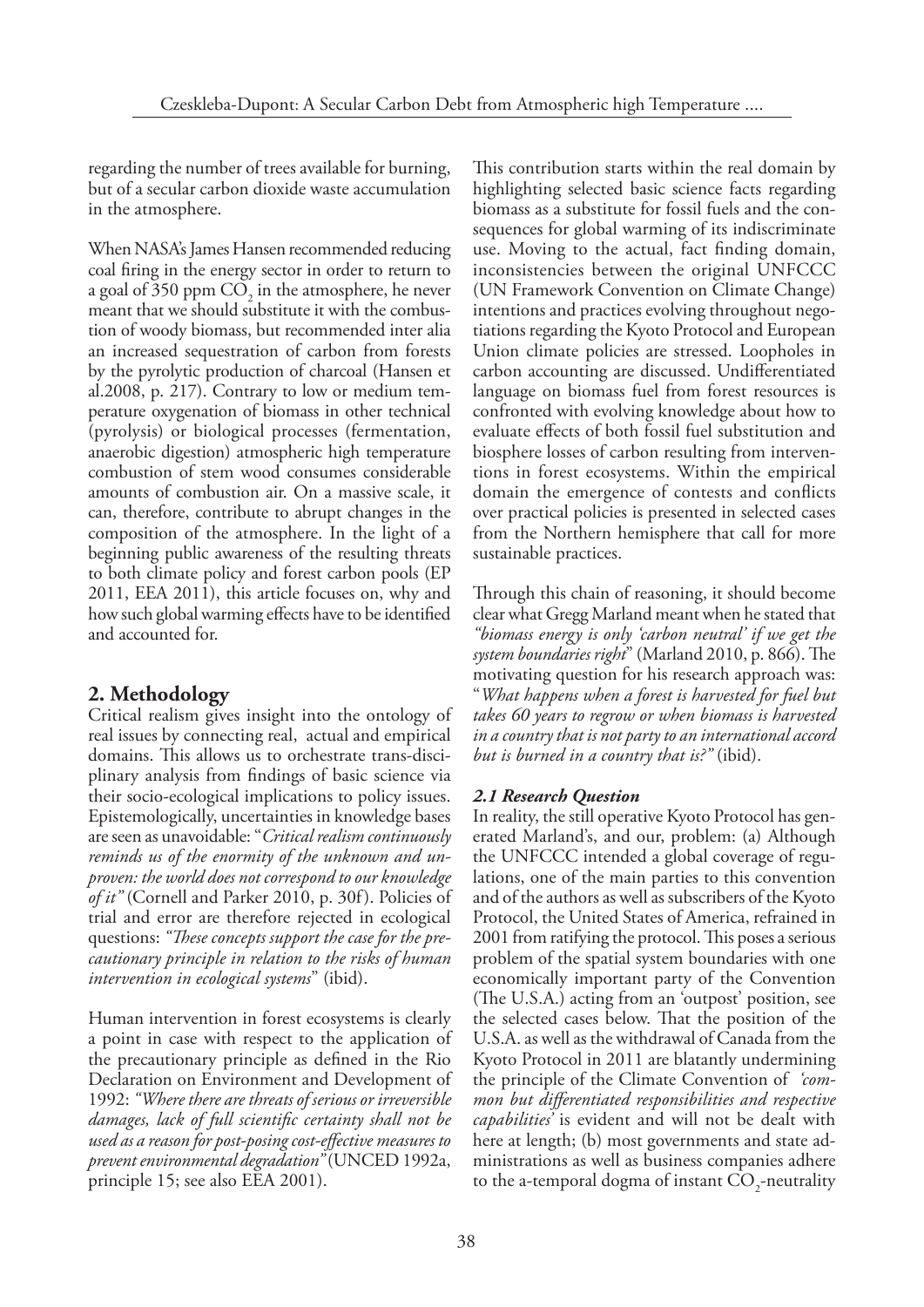regarding the number of trees available for burning, but of a secular carbon dioxide waste accumulation in the atmosphere.

When NASA's James Hansen recommended reducing coal firing in the energy sector in order to return to a goal of 350 ppm  $CO<sub>2</sub>$  in the atmosphere, he never meant that we should substitute it with the combustion of woody biomass, but recommended inter alia an increased sequestration of carbon from forests by the pyrolytic production of charcoal (Hansen et al.2008, p. 217). Contrary to low or medium temperature oxygenation of biomass in other technical (pyrolysis) or biological processes (fermentation, anaerobic digestion) atmospheric high temperature combustion of stem wood consumes considerable amounts of combustion air. On a massive scale, it can, therefore, contribute to abrupt changes in the composition of the atmosphere. In the light of a beginning public awareness of the resulting threats to both climate policy and forest carbon pools (EP 2011, EEA 2011), this article focuses on, why and how such global warming effects have to be identified and accounted for.

## **2. Methodology**

Critical realism gives insight into the ontology of real issues by connecting real, actual and empirical domains. This allows us to orchestrate trans-disciplinary analysis from findings of basic science via their socio-ecological implications to policy issues. Epistemologically, uncertainties in knowledge bases are seen as unavoidable: "*Critical realism continuously reminds us of the enormity of the unknown and unproven: the world does not correspond to our knowledge of it"* (Cornell and Parker 2010, p. 30f). Policies of trial and error are therefore rejected in ecological questions: *"These concepts support the case for the precautionary principle in relation to the risks of human intervention in ecological systems*" (ibid).

Human intervention in forest ecosystems is clearly a point in case with respect to the application of the precautionary principle as defined in the Rio Declaration on Environment and Development of 1992: *"Where there are threats of serious or irreversible damages, lack of full scientific certainty shall not be used as a reason for post-posing cost-effective measures to prevent environmental degradation"* (UNCED 1992a, principle 15; see also EEA 2001).

This contribution starts within the real domain by highlighting selected basic science facts regarding biomass as a substitute for fossil fuels and the consequences for global warming of its indiscriminate use. Moving to the actual, fact finding domain, inconsistencies between the original UNFCCC (UN Framework Convention on Climate Change) intentions and practices evolving throughout negotiations regarding the Kyoto Protocol and European Union climate policies are stressed. Loopholes in carbon accounting are discussed. Undifferentiated language on biomass fuel from forest resources is confronted with evolving knowledge about how to evaluate effects of both fossil fuel substitution and biosphere losses of carbon resulting from interventions in forest ecosystems. Within the empirical domain the emergence of contests and conflicts over practical policies is presented in selected cases from the Northern hemisphere that call for more sustainable practices.

Through this chain of reasoning, it should become clear what Gregg Marland meant when he stated that *"biomass energy is only 'carbon neutral' if we get the system boundaries right*" (Marland 2010, p. 866). The motivating question for his research approach was: "*What happens when a forest is harvested for fuel but takes 60 years to regrow or when biomass is harvested in a country that is not party to an international accord but is burned in a country that is?"* (ibid).

### *2.1 Research Question*

In reality, the still operative Kyoto Protocol has generated Marland's, and our, problem: (a) Although the UNFCCC intended a global coverage of regulations, one of the main parties to this convention and of the authors as well as subscribers of the Kyoto Protocol, the United States of America, refrained in 2001 from ratifying the protocol. This poses a serious problem of the spatial system boundaries with one economically important party of the Convention (The U.S.A.) acting from an 'outpost' position, see the selected cases below. That the position of the U.S.A. as well as the withdrawal of Canada from the Kyoto Protocol in 2011 are blatantly undermining the principle of the Climate Convention of *'common but differentiated responsibilities and respective capabilities'* is evident and will not be dealt with here at length; (b) most governments and state administrations as well as business companies adhere to the a-temporal dogma of instant  $CO_2$ -neutrality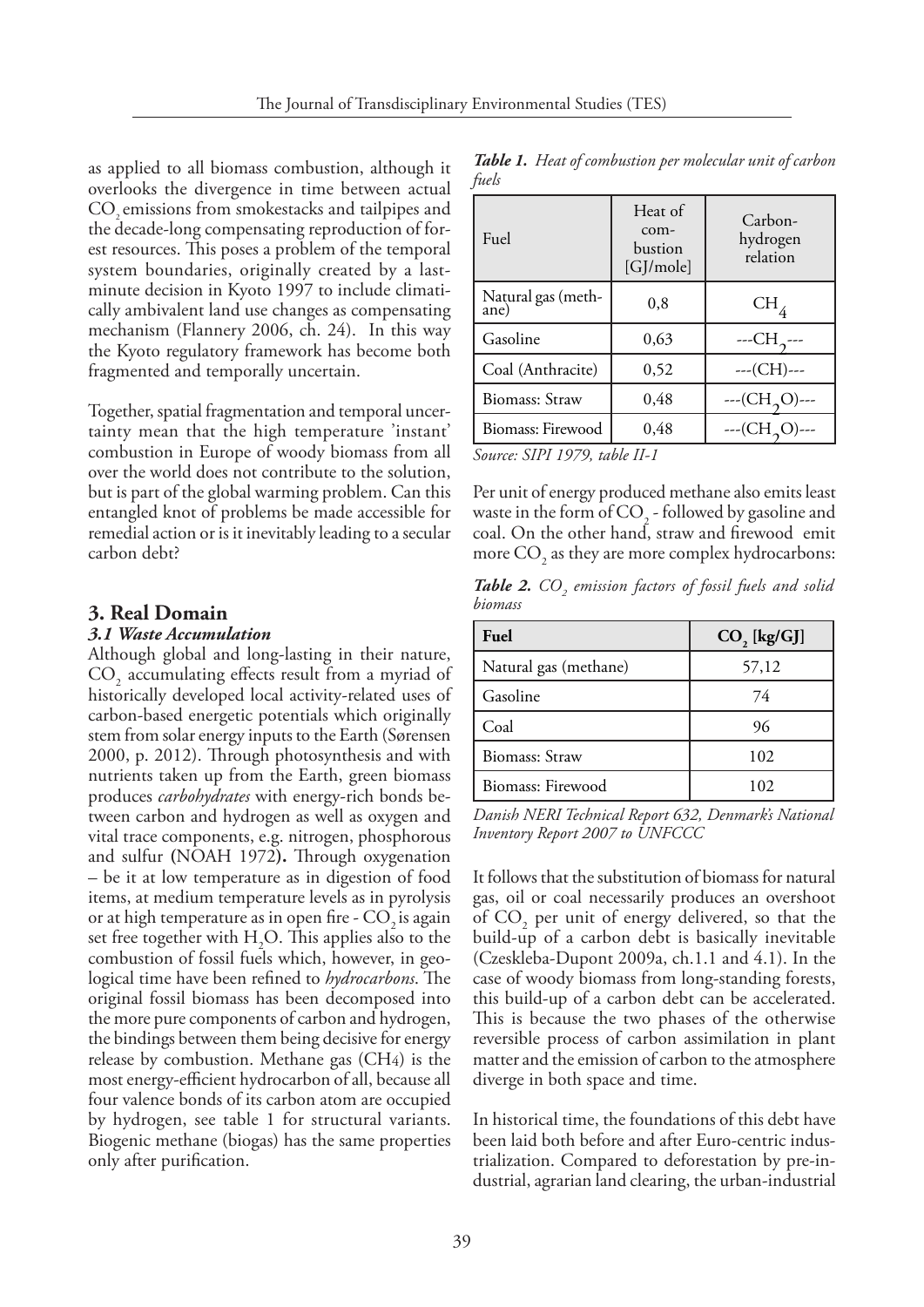as applied to all biomass combustion, although it overlooks the divergence in time between actual CO<sub>2</sub> emissions from smokestacks and tailpipes and the decade-long compensating reproduction of forest resources. This poses a problem of the temporal system boundaries, originally created by a lastminute decision in Kyoto 1997 to include climatically ambivalent land use changes as compensating mechanism (Flannery 2006, ch. 24). In this way the Kyoto regulatory framework has become both fragmented and temporally uncertain.

Together, spatial fragmentation and temporal uncertainty mean that the high temperature 'instant' combustion in Europe of woody biomass from all over the world does not contribute to the solution, but is part of the global warming problem. Can this entangled knot of problems be made accessible for remedial action or is it inevitably leading to a secular carbon debt?

#### **3. Real Domain**

#### *3.1 Waste Accumulation*

Although global and long-lasting in their nature, CO<sub>2</sub> accumulating effects result from a myriad of historically developed local activity-related uses of carbon-based energetic potentials which originally stem from solar energy inputs to the Earth (Sørensen 2000, p. 2012). Through photosynthesis and with nutrients taken up from the Earth, green biomass produces *carbohydrates* with energy-rich bonds between carbon and hydrogen as well as oxygen and vital trace components, e.g. nitrogen, phosphorous and sulfur **(**NOAH 1972**).** Through oxygenation – be it at low temperature as in digestion of food items, at medium temperature levels as in pyrolysis or at high temperature as in open fire  $-CO<sub>2</sub>$  is again set free together with  $H_2O$ . This applies also to the combustion of fossil fuels which, however, in geological time have been refined to *hydrocarbons*. The original fossil biomass has been decomposed into the more pure components of carbon and hydrogen, the bindings between them being decisive for energy release by combustion. Methane gas (CH4) is the most energy-efficient hydrocarbon of all, because all four valence bonds of its carbon atom are occupied by hydrogen, see table 1 for structural variants. Biogenic methane (biogas) has the same properties only after purification.

*Table 1. Heat of combustion per molecular unit of carbon fuels*

| Heat of<br>com-<br>bustion<br>[G]/mole] | Carbon-<br>hydrogen<br>relation |
|-----------------------------------------|---------------------------------|
| 0,8                                     | CH.                             |
| 0,63                                    | $-CH_{2}$ ---                   |
| 0,52                                    | $---(CH)---$                    |
| 0,48                                    | $-CH2O$                         |
| 0,48                                    | $-CH2O$                         |
|                                         |                                 |

*Source: SIPI 1979, table II-1*

Per unit of energy produced methane also emits least waste in the form of  $CO_2$  - followed by gasoline and coal. On the other hand, straw and firewood emit more  $\mathrm{CO}_2$  as they are more complex hydrocarbons:

*Table 2.*  $CO<sub>2</sub>$  emission factors of fossil fuels and solid *biomass*

| Fuel                  | CO, [kg/G] |
|-----------------------|------------|
| Natural gas (methane) | 57,12      |
| Gasoline              | 74         |
| Coal                  | 96         |
| Biomass: Straw        | 102        |
| Biomass: Firewood     | 102        |

*Danish NERI Technical Report 632, Denmark's National Inventory Report 2007 to UNFCCC*

It follows that the substitution of biomass for natural gas, oil or coal necessarily produces an overshoot of  $CO<sub>2</sub>$  per unit of energy delivered, so that the build-up of a carbon debt is basically inevitable (Czeskleba-Dupont 2009a, ch.1.1 and 4.1). In the case of woody biomass from long-standing forests, this build-up of a carbon debt can be accelerated. This is because the two phases of the otherwise reversible process of carbon assimilation in plant matter and the emission of carbon to the atmosphere diverge in both space and time.

In historical time, the foundations of this debt have been laid both before and after Euro-centric industrialization. Compared to deforestation by pre-industrial, agrarian land clearing, the urban-industrial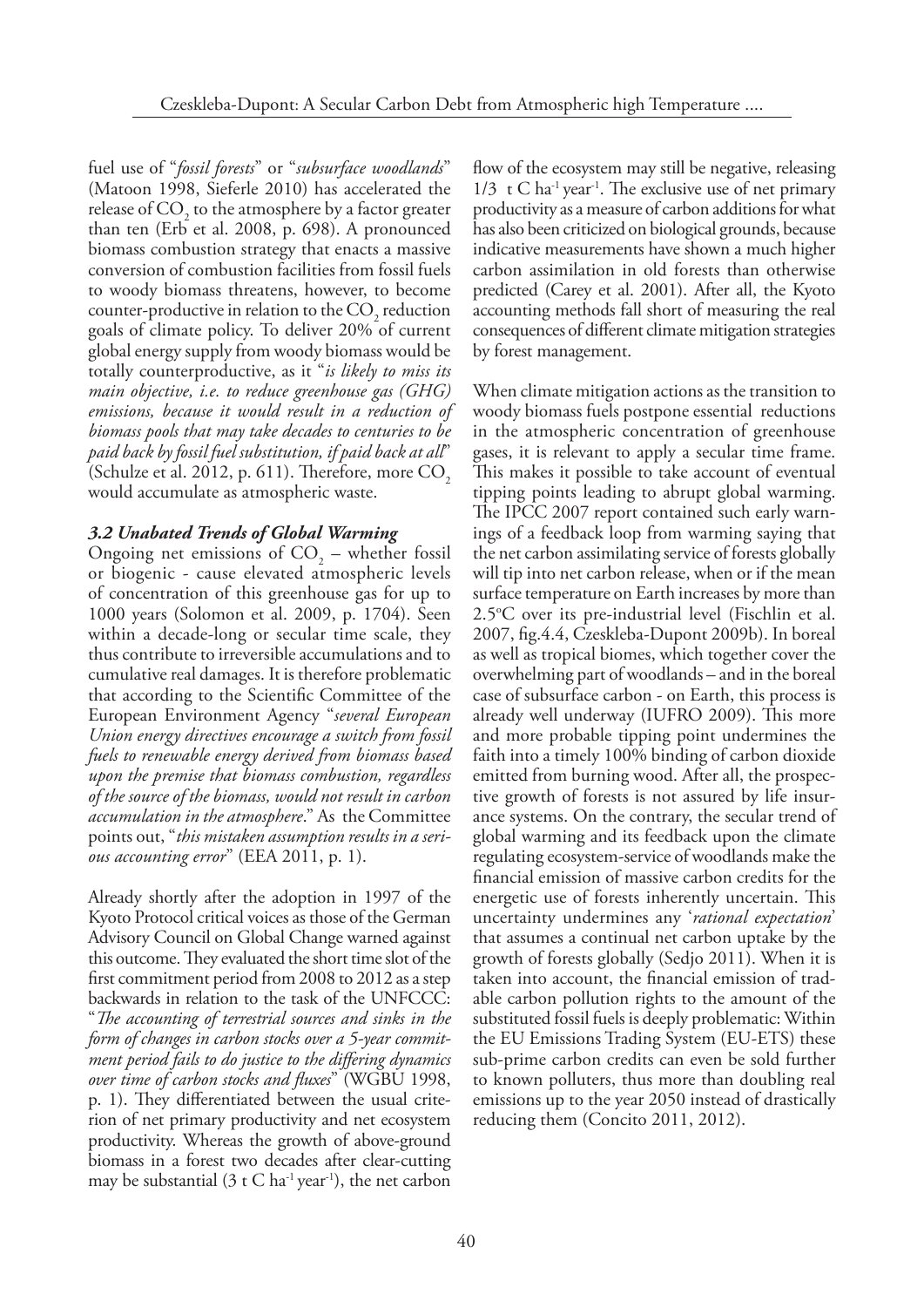fuel use of "*fossil forests*" or "*subsurface woodlands*" (Matoon 1998, Sieferle 2010) has accelerated the release of  $CO<sub>2</sub>$  to the atmosphere by a factor greater than ten (Erb et al. 2008, p. 698). A pronounced biomass combustion strategy that enacts a massive conversion of combustion facilities from fossil fuels to woody biomass threatens, however, to become counter-productive in relation to the  $CO<sub>2</sub>$  reduction goals of climate policy. To deliver 20% of current global energy supply from woody biomass would be totally counterproductive, as it "*is likely to miss its main objective, i.e. to reduce greenhouse gas (GHG) emissions, because it would result in a reduction of biomass pools that may take decades to centuries to be paid back by fossil fuel substitution, if paid back at all*" (Schulze et al. 2012, p. 611). Therefore, more  $CO<sub>2</sub>$ would accumulate as atmospheric waste.

#### *3.2 Unabated Trends of Global Warming*

Ongoing net emissions of  $CO<sub>2</sub>$  – whether fossil or biogenic - cause elevated atmospheric levels of concentration of this greenhouse gas for up to 1000 years (Solomon et al. 2009, p. 1704). Seen within a decade-long or secular time scale, they thus contribute to irreversible accumulations and to cumulative real damages. It is therefore problematic that according to the Scientific Committee of the European Environment Agency "*several European Union energy directives encourage a switch from fossil fuels to renewable energy derived from biomass based upon the premise that biomass combustion, regardless of the source of the biomass, would not result in carbon accumulation in the atmosphere*." As the Committee points out, "*this mistaken assumption results in a serious accounting error*" (EEA 2011, p. 1).

Already shortly after the adoption in 1997 of the Kyoto Protocol critical voices as those of the German Advisory Council on Global Change warned against this outcome. They evaluated the short time slot of the first commitment period from 2008 to 2012 as a step backwards in relation to the task of the UNFCCC: "*The accounting of terrestrial sources and sinks in the form of changes in carbon stocks over a 5-year commitment period fails to do justice to the differing dynamics over time of carbon stocks and fluxes*" (WGBU 1998, p. 1). They differentiated between the usual criterion of net primary productivity and net ecosystem productivity. Whereas the growth of above-ground biomass in a forest two decades after clear-cutting may be substantial  $(3 \text{ t C ha}^{-1} \text{ year}^{-1})$ , the net carbon

flow of the ecosystem may still be negative, releasing  $1/3$  t C ha<sup>-1</sup> year<sup>-1</sup>. The exclusive use of net primary productivity as a measure of carbon additions for what has also been criticized on biological grounds, because indicative measurements have shown a much higher carbon assimilation in old forests than otherwise predicted (Carey et al. 2001). After all, the Kyoto accounting methods fall short of measuring the real consequences of different climate mitigation strategies by forest management.

When climate mitigation actions as the transition to woody biomass fuels postpone essential reductions in the atmospheric concentration of greenhouse gases, it is relevant to apply a secular time frame. This makes it possible to take account of eventual tipping points leading to abrupt global warming. The IPCC 2007 report contained such early warnings of a feedback loop from warming saying that the net carbon assimilating service of forests globally will tip into net carbon release, when or if the mean surface temperature on Earth increases by more than 2.5°C over its pre-industrial level (Fischlin et al. 2007, fig.4.4, Czeskleba-Dupont 2009b). In boreal as well as tropical biomes, which together cover the overwhelming part of woodlands – and in the boreal case of subsurface carbon - on Earth, this process is already well underway (IUFRO 2009). This more and more probable tipping point undermines the faith into a timely 100% binding of carbon dioxide emitted from burning wood. After all, the prospective growth of forests is not assured by life insurance systems. On the contrary, the secular trend of global warming and its feedback upon the climate regulating ecosystem-service of woodlands make the financial emission of massive carbon credits for the energetic use of forests inherently uncertain. This uncertainty undermines any '*rational expectation*' that assumes a continual net carbon uptake by the growth of forests globally (Sedjo 2011). When it is taken into account, the financial emission of tradable carbon pollution rights to the amount of the substituted fossil fuels is deeply problematic: Within the EU Emissions Trading System (EU-ETS) these sub-prime carbon credits can even be sold further to known polluters, thus more than doubling real emissions up to the year 2050 instead of drastically reducing them (Concito 2011, 2012).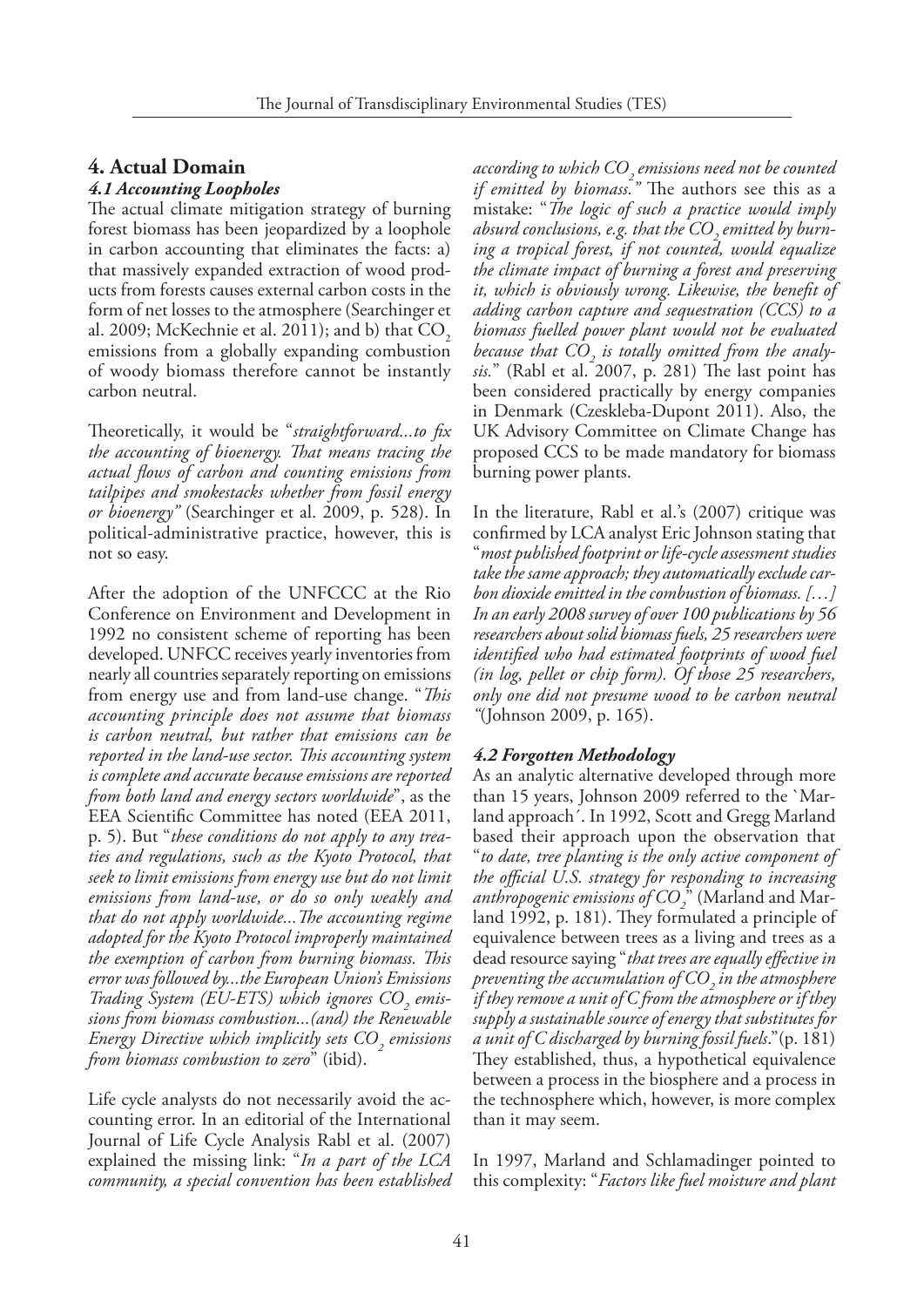#### **4. Actual Domain** *4.1 Accounting Loopholes*

The actual climate mitigation strategy of burning forest biomass has been jeopardized by a loophole in carbon accounting that eliminates the facts: a) that massively expanded extraction of wood products from forests causes external carbon costs in the form of net losses to the atmosphere (Searchinger et al. 2009; McKechnie et al. 2011); and b) that  $CO<sub>2</sub>$ emissions from a globally expanding combustion of woody biomass therefore cannot be instantly carbon neutral.

Theoretically, it would be "*straightforward...to fix the accounting of bioenergy. That means tracing the actual flows of carbon and counting emissions from tailpipes and smokestacks whether from fossil energy or bioenergy"* (Searchinger et al. 2009, p. 528). In political-administrative practice, however, this is not so easy.

After the adoption of the UNFCCC at the Rio Conference on Environment and Development in 1992 no consistent scheme of reporting has been developed. UNFCC receives yearly inventories from nearly all countries separately reporting on emissions from energy use and from land-use change. "*This accounting principle does not assume that biomass is carbon neutral, but rather that emissions can be reported in the land-use sector. This accounting system is complete and accurate because emissions are reported from both land and energy sectors worldwide*", as the EEA Scientific Committee has noted (EEA 2011, p. 5). But "*these conditions do not apply to any treaties and regulations, such as the Kyoto Protocol, that seek to limit emissions from energy use but do not limit emissions from land-use, or do so only weakly and that do not apply worldwide...The accounting regime adopted for the Kyoto Protocol improperly maintained the exemption of carbon from burning biomass. This error was followed by...the European Union's Emissions Trading System (EU-ETS) which ignores CO<sub>2</sub> emissions from biomass combustion...(and) the Renewable Energy Directive which implicitly sets CO2 emissions from biomass combustion to zero*" (ibid).

Life cycle analysts do not necessarily avoid the accounting error. In an editorial of the International Journal of Life Cycle Analysis Rabl et al. (2007) explained the missing link: "*In a part of the LCA community, a special convention has been established* 

according to which CO<sub>2</sub> emissions need not be counted *if emitted by biomass."* The authors see this as a mistake: "*The logic of such a practice would imply*  absurd conclusions, e.g. that the CO<sub>2</sub> emitted by burn*ing a tropical forest, if not counted, would equalize the climate impact of burning a forest and preserving it, which is obviously wrong. Likewise, the benefit of adding carbon capture and sequestration (CCS) to a biomass fuelled power plant would not be evaluated*  because that CO<sub>2</sub> is totally omitted from the analy*sis.*" (Rabl et al. 2007, p. 281) The last point has been considered practically by energy companies in Denmark (Czeskleba-Dupont 2011). Also, the UK Advisory Committee on Climate Change has proposed CCS to be made mandatory for biomass burning power plants.

In the literature, Rabl et al.'s (2007) critique was confirmed by LCA analyst Eric Johnson stating that "*most published footprint or life-cycle assessment studies take the same approach; they automatically exclude carbon dioxide emitted in the combustion of biomass. […] In an early 2008 survey of over 100 publications by 56 researchers about solid biomass fuels, 25 researchers were identified who had estimated footprints of wood fuel (in log, pellet or chip form). Of those 25 researchers, only one did not presume wood to be carbon neutral "*(Johnson 2009, p. 165).

#### *4.2 Forgotten Methodology*

As an analytic alternative developed through more than 15 years, Johnson 2009 referred to the `Marland approach´. In 1992, Scott and Gregg Marland based their approach upon the observation that "*to date, tree planting is the only active component of the official U.S. strategy for responding to increasing anthropogenic emissions of CO2* " (Marland and Marland 1992, p. 181). They formulated a principle of equivalence between trees as a living and trees as a dead resource saying "*that trees are equally effective in preventing the accumulation of CO2 in the atmosphere if theyremove a unit of C from the atmosphere or if they supply a sustainable source of energy that substitutes for a unit of C discharged by burning fossil fuels*."(p. 181) They established, thus, a hypothetical equivalence between a process in the biosphere and a process in the technosphere which, however, is more complex than it may seem.

In 1997, Marland and Schlamadinger pointed to this complexity: "*Factors like fuel moisture and plant*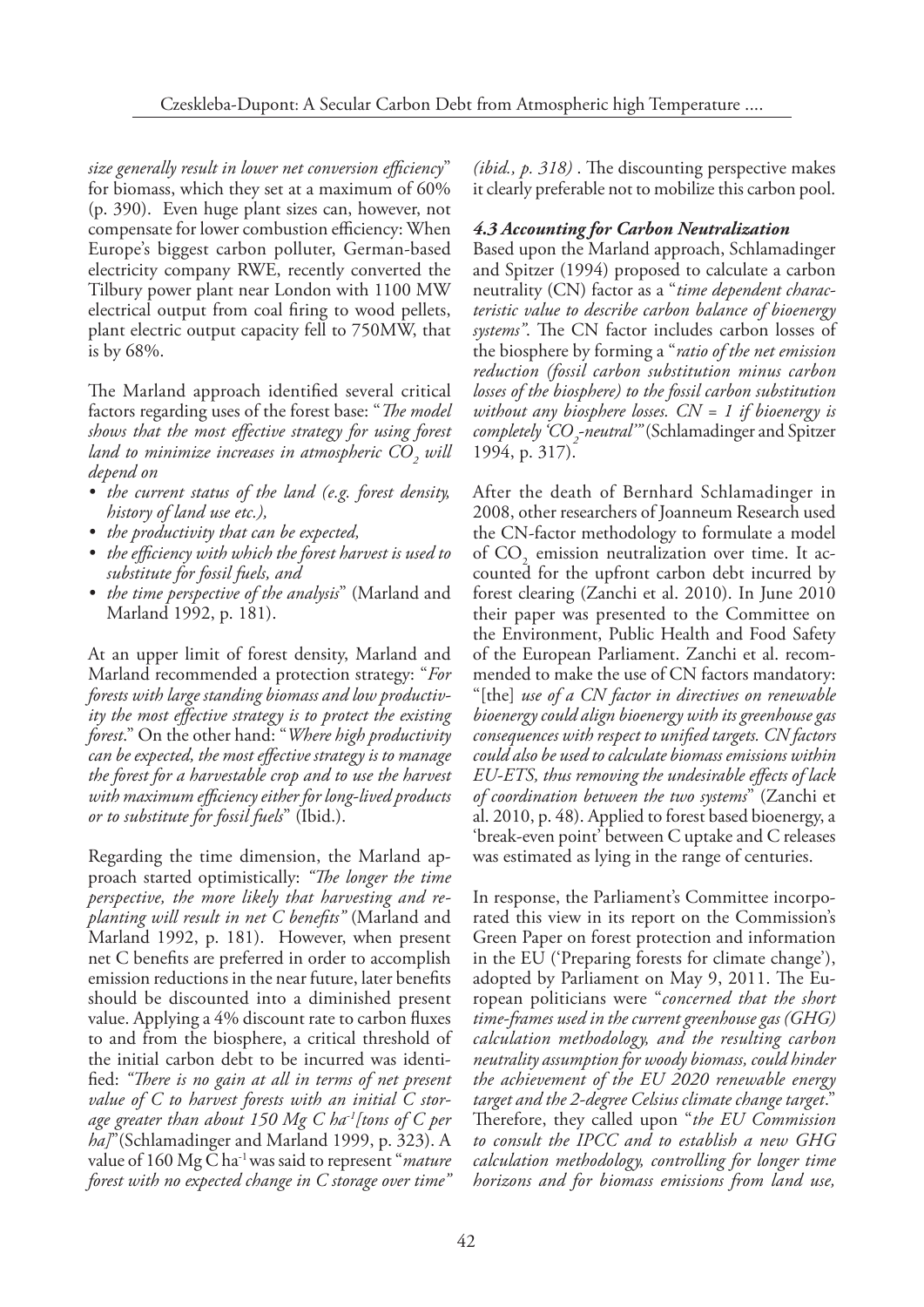*size generally result in lower net conversion efficiency*" for biomass, which they set at a maximum of 60% (p. 390). Even huge plant sizes can, however, not compensate for lower combustion efficiency: When Europe's biggest carbon polluter, German-based electricity company RWE, recently converted the Tilbury power plant near London with 1100 MW electrical output from coal firing to wood pellets, plant electric output capacity fell to 750MW, that is by 68%.

The Marland approach identified several critical factors regarding uses of the forest base: "*The model shows that the most effective strategy for using forest*  land to minimize increases in atmospheric CO<sub>2</sub> will *depend on* 

- *• the current status of the land (e.g. forest density, history of land use etc.),*
- *• the productivity that can be expected,*
- *• the efficiency with which the forest harvest is used to substitute for fossil fuels, and*
- *• the time perspective of the analysis*" (Marland and Marland 1992, p. 181).

At an upper limit of forest density, Marland and Marland recommended a protection strategy: "*For forests with large standing biomass and low productivity the most effective strategy is to protect the existing forest*." On the other hand: "*Where high productivity can be expected, the most effective strategy is to manage the forest for a harvestable crop and to use the harvest with maximum efficiency either for long-lived products or to substitute for fossil fuels*" (Ibid.).

Regarding the time dimension, the Marland approach started optimistically: *"The longer the time perspective, the more likely that harvesting and replanting will result in net C benefits"* (Marland and Marland 1992, p. 181). However, when present net C benefits are preferred in order to accomplish emission reductions in the near future, later benefits should be discounted into a diminished present value. Applying a 4% discount rate to carbon fluxes to and from the biosphere, a critical threshold of the initial carbon debt to be incurred was identified: *"There is no gain at all in terms of net present value of C to harvest forests with an initial C storage greater than about 150 Mg C ha-1[tons of C per ha]*"(Schlamadinger and Marland 1999, p. 323). A value of 160 Mg C ha-1 was said to represent "*mature forest with no expected change in C storage over time"* 

*(ibid., p. 318)* . The discounting perspective makes it clearly preferable not to mobilize this carbon pool.

#### *4.3 Accounting for Carbon Neutralization*

Based upon the Marland approach, Schlamadinger and Spitzer (1994) proposed to calculate a carbon neutrality (CN) factor as a "*time dependent characteristic value to describe carbon balance of bioenergy systems"*. The CN factor includes carbon losses of the biosphere by forming a "*ratio of the net emission reduction (fossil carbon substitution minus carbon losses of the biosphere) to the fossil carbon substitution without any biosphere losses. CN = 1 if bioenergy is completely 'CO<sub>2</sub>-neutral'"* (Schlamadinger and Spitzer 1994, p. 317).

After the death of Bernhard Schlamadinger in 2008, other researchers of Joanneum Research used the CN-factor methodology to formulate a model of CO<sub>2</sub> emission neutralization over time. It accounted for the upfront carbon debt incurred by forest clearing (Zanchi et al. 2010). In June 2010 their paper was presented to the Committee on the Environment, Public Health and Food Safety of the European Parliament. Zanchi et al. recommended to make the use of CN factors mandatory: "[the] *use of a CN factor in directives on renewable bioenergy could align bioenergy with its greenhouse gas consequences with respect to unified targets. CN factors could also be used to calculate biomass emissions within EU-ETS, thus removing the undesirable effects of lack of coordination between the two systems*" (Zanchi et al. 2010, p. 48). Applied to forest based bioenergy, a 'break-even point' between C uptake and C releases was estimated as lying in the range of centuries.

In response, the Parliament's Committee incorporated this view in its report on the Commission's Green Paper on forest protection and information in the EU ('Preparing forests for climate change'), adopted by Parliament on May 9, 2011. The European politicians were "*concerned that the short time-frames used in the current greenhouse gas (GHG) calculation methodology, and the resulting carbon neutrality assumption for woody biomass, could hinder the achievement of the EU 2020 renewable energy target and the 2-degree Celsius climate change target*." Therefore, they called upon "*the EU Commission to consult the IPCC and to establish a new GHG calculation methodology, controlling for longer time horizons and for biomass emissions from land use,*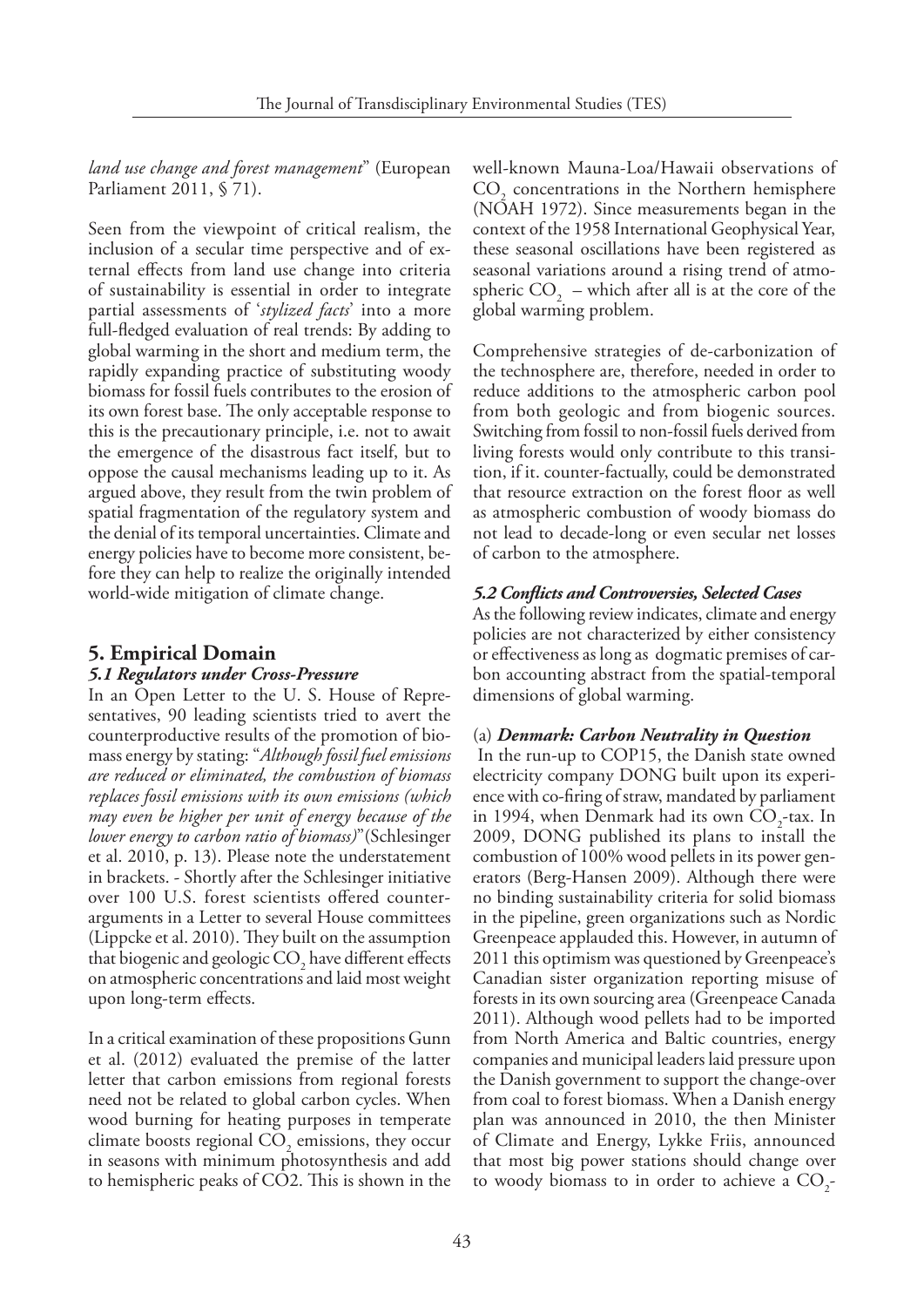*land use change and forest management*" (European Parliament 2011, § 71).

Seen from the viewpoint of critical realism, the inclusion of a secular time perspective and of external effects from land use change into criteria of sustainability is essential in order to integrate partial assessments of '*stylized facts*' into a more full-fledged evaluation of real trends: By adding to global warming in the short and medium term, the rapidly expanding practice of substituting woody biomass for fossil fuels contributes to the erosion of its own forest base. The only acceptable response to this is the precautionary principle, i.e. not to await the emergence of the disastrous fact itself, but to oppose the causal mechanisms leading up to it. As argued above, they result from the twin problem of spatial fragmentation of the regulatory system and the denial of its temporal uncertainties. Climate and energy policies have to become more consistent, before they can help to realize the originally intended world-wide mitigation of climate change.

# **5. Empirical Domain**

#### *5.1 Regulators under Cross-Pressure*

In an Open Letter to the U. S. House of Representatives, 90 leading scientists tried to avert the counterproductive results of the promotion of biomass energy by stating: "*Although fossil fuel emissions are reduced or eliminated, the combustion of biomass replaces fossil emissions with its own emissions (which may even be higher per unit of energy because of the lower energy to carbon ratio of biomass)*"(Schlesinger et al. 2010, p. 13). Please note the understatement in brackets. - Shortly after the Schlesinger initiative over 100 U.S. forest scientists offered counterarguments in a Letter to several House committees (Lippcke et al. 2010). They built on the assumption that biogenic and geologic  $\mathrm{CO}_2$  have different effects on atmospheric concentrations and laid most weight upon long-term effects.

In a critical examination of these propositions Gunn et al. (2012) evaluated the premise of the latter letter that carbon emissions from regional forests need not be related to global carbon cycles. When wood burning for heating purposes in temperate climate boosts regional  $\mathrm{CO}_2$  emissions, they occur in seasons with minimum photosynthesis and add to hemispheric peaks of CO2. This is shown in the

well-known Mauna-Loa/Hawaii observations of  $CO<sub>2</sub>$  concentrations in the Northern hemisphere (NOAH 1972). Since measurements began in the context of the 1958 International Geophysical Year, these seasonal oscillations have been registered as seasonal variations around a rising trend of atmospheric  $CO_2$  – which after all is at the core of the global warming problem.

Comprehensive strategies of de-carbonization of the technosphere are, therefore, needed in order to reduce additions to the atmospheric carbon pool from both geologic and from biogenic sources. Switching from fossil to non-fossil fuels derived from living forests would only contribute to this transition, if it. counter-factually, could be demonstrated that resource extraction on the forest floor as well as atmospheric combustion of woody biomass do not lead to decade-long or even secular net losses of carbon to the atmosphere.

#### *5.2 Conflicts and Controversies, Selected Cases*

As the following review indicates, climate and energy policies are not characterized by either consistency or effectiveness as long as dogmatic premises of carbon accounting abstract from the spatial-temporal dimensions of global warming.

#### (a) *Denmark: Carbon Neutrality in Question*

 In the run-up to COP15, the Danish state owned electricity company DONG built upon its experience with co-firing of straw, mandated by parliament in 1994, when Denmark had its own  $CO<sub>2</sub>$ -tax. In 2009, DONG published its plans to install the combustion of 100% wood pellets in its power generators (Berg-Hansen 2009). Although there were no binding sustainability criteria for solid biomass in the pipeline, green organizations such as Nordic Greenpeace applauded this. However, in autumn of 2011 this optimism was questioned by Greenpeace's Canadian sister organization reporting misuse of forests in its own sourcing area (Greenpeace Canada 2011). Although wood pellets had to be imported from North America and Baltic countries, energy companies and municipal leaders laid pressure upon the Danish government to support the change-over from coal to forest biomass. When a Danish energy plan was announced in 2010, the then Minister of Climate and Energy, Lykke Friis, announced that most big power stations should change over to woody biomass to in order to achieve a  $CO_2$ -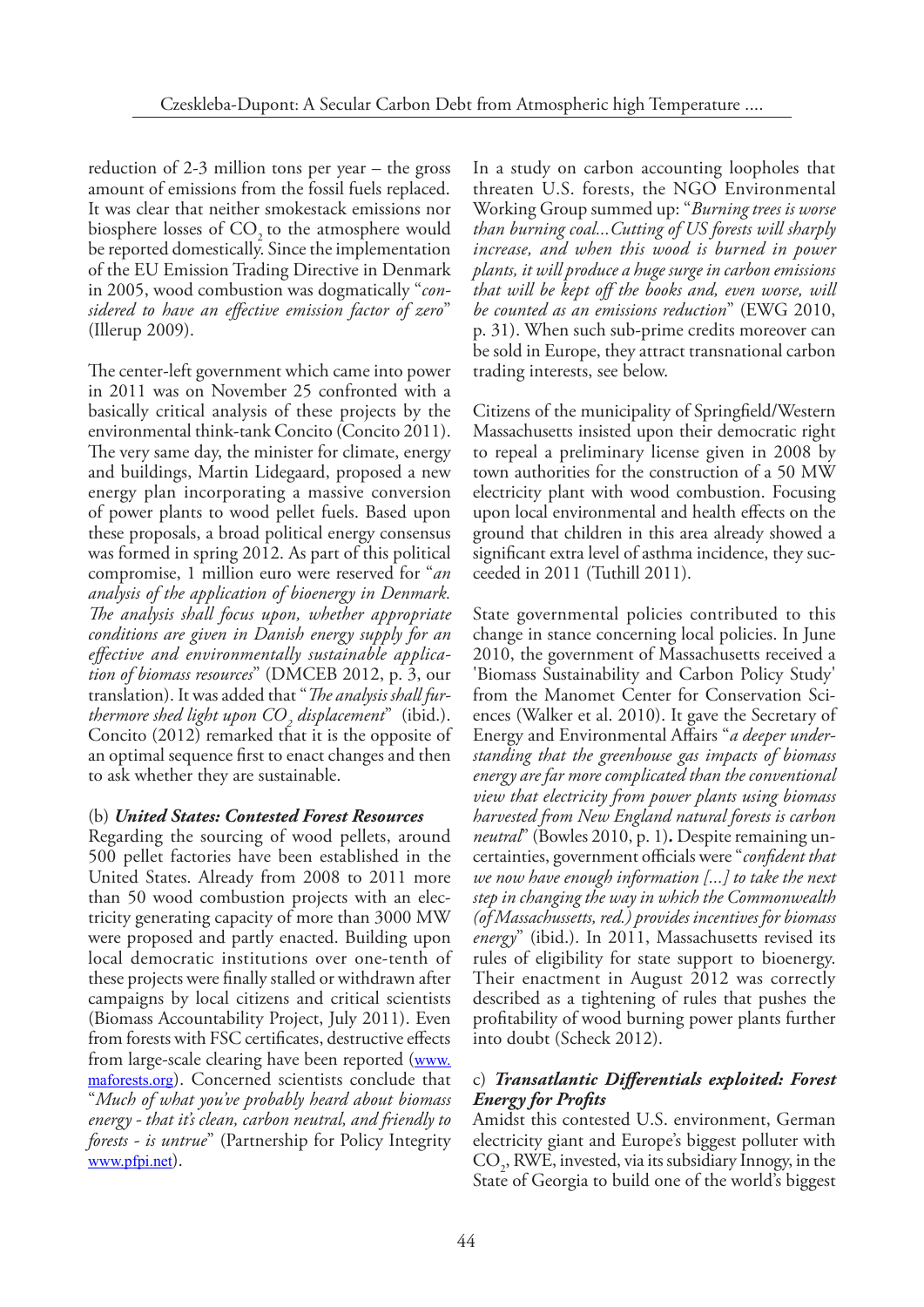reduction of 2-3 million tons per year – the gross amount of emissions from the fossil fuels replaced. It was clear that neither smokestack emissions nor biosphere losses of  $CO<sub>2</sub>$  to the atmosphere would be reported domestically. Since the implementation of the EU Emission Trading Directive in Denmark in 2005, wood combustion was dogmatically "*considered to have an effective emission factor of zero*" (Illerup 2009).

The center-left government which came into power in 2011 was on November 25 confronted with a basically critical analysis of these projects by the environmental think-tank Concito (Concito 2011). The very same day, the minister for climate, energy and buildings, Martin Lidegaard, proposed a new energy plan incorporating a massive conversion of power plants to wood pellet fuels. Based upon these proposals, a broad political energy consensus was formed in spring 2012. As part of this political compromise, 1 million euro were reserved for "*an analysis of the application of bioenergy in Denmark. The analysis shall focus upon, whether appropriate conditions are given in Danish energy supply for an effective and environmentally sustainable application of biomass resources*" (DMCEB 2012, p. 3, our translation). It was added that "*The analysis shall furthermore shed light upon CO<sub>2</sub> displacement*" (ibid.). Concito (2012) remarked that it is the opposite of an optimal sequence first to enact changes and then to ask whether they are sustainable.

#### (b) *United States: Contested Forest Resources*

Regarding the sourcing of wood pellets, around 500 pellet factories have been established in the United States. Already from 2008 to 2011 more than 50 wood combustion projects with an electricity generating capacity of more than 3000 MW were proposed and partly enacted. Building upon local democratic institutions over one-tenth of these projects were finally stalled or withdrawn after campaigns by local citizens and critical scientists (Biomass Accountability Project, July 2011). Even from forests with FSC certificates, destructive effects from large-scale clearing have been reported (www. maforests.org). Concerned scientists conclude that "*Much of what you've probably heard about biomass energy - that it's clean, carbon neutral, and friendly to forests - is untrue*" (Partnership for Policy Integrity www.pfpi.net).

In a study on carbon accounting loopholes that threaten U.S. forests, the NGO Environmental Working Group summed up: "*Burning trees is worse than burning coal...Cutting of US forests will sharply increase, and when this wood is burned in power plants, it will produce a huge surge in carbon emissions that will be kept off the books and, even worse, will be counted as an emissions reduction*" (EWG 2010, p. 31). When such sub-prime credits moreover can be sold in Europe, they attract transnational carbon trading interests, see below.

Citizens of the municipality of Springfield/Western Massachusetts insisted upon their democratic right to repeal a preliminary license given in 2008 by town authorities for the construction of a 50 MW electricity plant with wood combustion. Focusing upon local environmental and health effects on the ground that children in this area already showed a significant extra level of asthma incidence, they succeeded in 2011 (Tuthill 2011).

State governmental policies contributed to this change in stance concerning local policies. In June 2010, the government of Massachusetts received a 'Biomass Sustainability and Carbon Policy Study' from the Manomet Center for Conservation Sciences (Walker et al. 2010). It gave the Secretary of Energy and Environmental Affairs "*a deeper understanding that the greenhouse gas impacts of biomass energy are far more complicated than the conventional view that electricity from power plants using biomass harvested from New England natural forests is carbon neutral*" (Bowles 2010, p. 1)*.* Despite remaining uncertainties, government officials were "*confident that we now have enough information [...] to take the next step in changing the way in which the Commonwealth (of Massachussetts, red.) provides incentives for biomass energy*" (ibid.). In 2011, Massachusetts revised its rules of eligibility for state support to bioenergy. Their enactment in August 2012 was correctly described as a tightening of rules that pushes the profitability of wood burning power plants further into doubt (Scheck 2012).

#### c) *Transatlantic Differentials exploited: Forest Energy for Profits*

Amidst this contested U.S. environment, German electricity giant and Europe's biggest polluter with CO<sub>2</sub>, RWE, invested, via its subsidiary Innogy, in the State of Georgia to build one of the world's biggest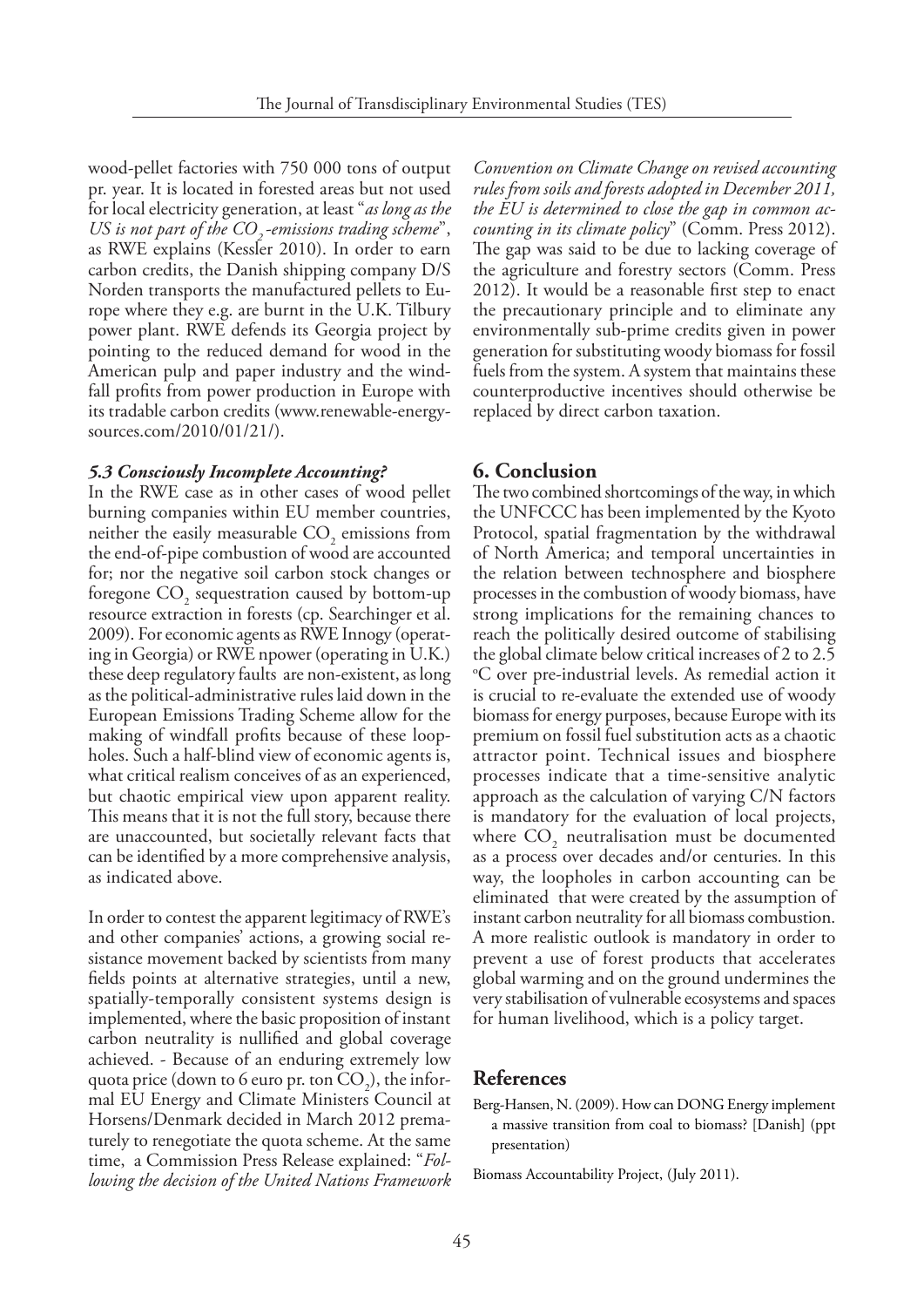wood-pellet factories with 750 000 tons of output pr. year. It is located in forested areas but not used for local electricity generation, at least "*as long as the US is not part of the CO<sub>2</sub>-emissions trading scheme*", as RWE explains (Kessler 2010). In order to earn carbon credits, the Danish shipping company D/S Norden transports the manufactured pellets to Europe where they e.g. are burnt in the U.K. Tilbury power plant. RWE defends its Georgia project by pointing to the reduced demand for wood in the American pulp and paper industry and the windfall profits from power production in Europe with its tradable carbon credits (www.renewable-energysources.com/2010/01/21/).

#### *5.3 Consciously Incomplete Accounting?*

In the RWE case as in other cases of wood pellet burning companies within EU member countries, neither the easily measurable  $CO<sub>2</sub>$  emissions from the end-of-pipe combustion of wood are accounted for; nor the negative soil carbon stock changes or foregone  $\mathrm{CO}_2$  sequestration caused by bottom-up resource extraction in forests (cp. Searchinger et al. 2009). For economic agents as RWE Innogy (operating in Georgia) or RWE npower (operating in U.K.) these deep regulatory faults are non-existent, as long as the political-administrative rules laid down in the European Emissions Trading Scheme allow for the making of windfall profits because of these loopholes. Such a half-blind view of economic agents is, what critical realism conceives of as an experienced, but chaotic empirical view upon apparent reality. This means that it is not the full story, because there are unaccounted, but societally relevant facts that can be identified by a more comprehensive analysis, as indicated above.

In order to contest the apparent legitimacy of RWE's and other companies' actions, a growing social resistance movement backed by scientists from many fields points at alternative strategies, until a new, spatially-temporally consistent systems design is implemented, where the basic proposition of instant carbon neutrality is nullified and global coverage achieved. - Because of an enduring extremely low quota price (down to 6 euro pr. ton  $CO<sub>2</sub>$ ), the informal EU Energy and Climate Ministers Council at Horsens/Denmark decided in March 2012 prematurely to renegotiate the quota scheme. At the same time, a Commission Press Release explained: "*Following the decision of the United Nations Framework* 

*Convention on Climate Change on revised accounting rules from soils and forests adopted in December 2011, the EU is determined to close the gap in common accounting in its climate policy*" (Comm. Press 2012). The gap was said to be due to lacking coverage of the agriculture and forestry sectors (Comm. Press 2012). It would be a reasonable first step to enact the precautionary principle and to eliminate any environmentally sub-prime credits given in power generation for substituting woody biomass for fossil fuels from the system. A system that maintains these counterproductive incentives should otherwise be replaced by direct carbon taxation.

#### **6. Conclusion**

The two combined shortcomings of the way, in which the UNFCCC has been implemented by the Kyoto Protocol, spatial fragmentation by the withdrawal of North America; and temporal uncertainties in the relation between technosphere and biosphere processes in the combustion of woody biomass, have strong implications for the remaining chances to reach the politically desired outcome of stabilising the global climate below critical increases of 2 to 2.5 <sup>o</sup>C over pre-industrial levels. As remedial action it is crucial to re-evaluate the extended use of woody biomass for energy purposes, because Europe with its premium on fossil fuel substitution acts as a chaotic attractor point. Technical issues and biosphere processes indicate that a time-sensitive analytic approach as the calculation of varying C/N factors is mandatory for the evaluation of local projects, where  $CO<sub>2</sub>$  neutralisation must be documented as a process over decades and/or centuries. In this way, the loopholes in carbon accounting can be eliminated that were created by the assumption of instant carbon neutrality for all biomass combustion. A more realistic outlook is mandatory in order to prevent a use of forest products that accelerates global warming and on the ground undermines the very stabilisation of vulnerable ecosystems and spaces for human livelihood, which is a policy target.

#### **References**

- Berg-Hansen, N. (2009). How can DONG Energy implement a massive transition from coal to biomass? [Danish] (ppt presentation)
- Biomass Accountability Project, (July 2011).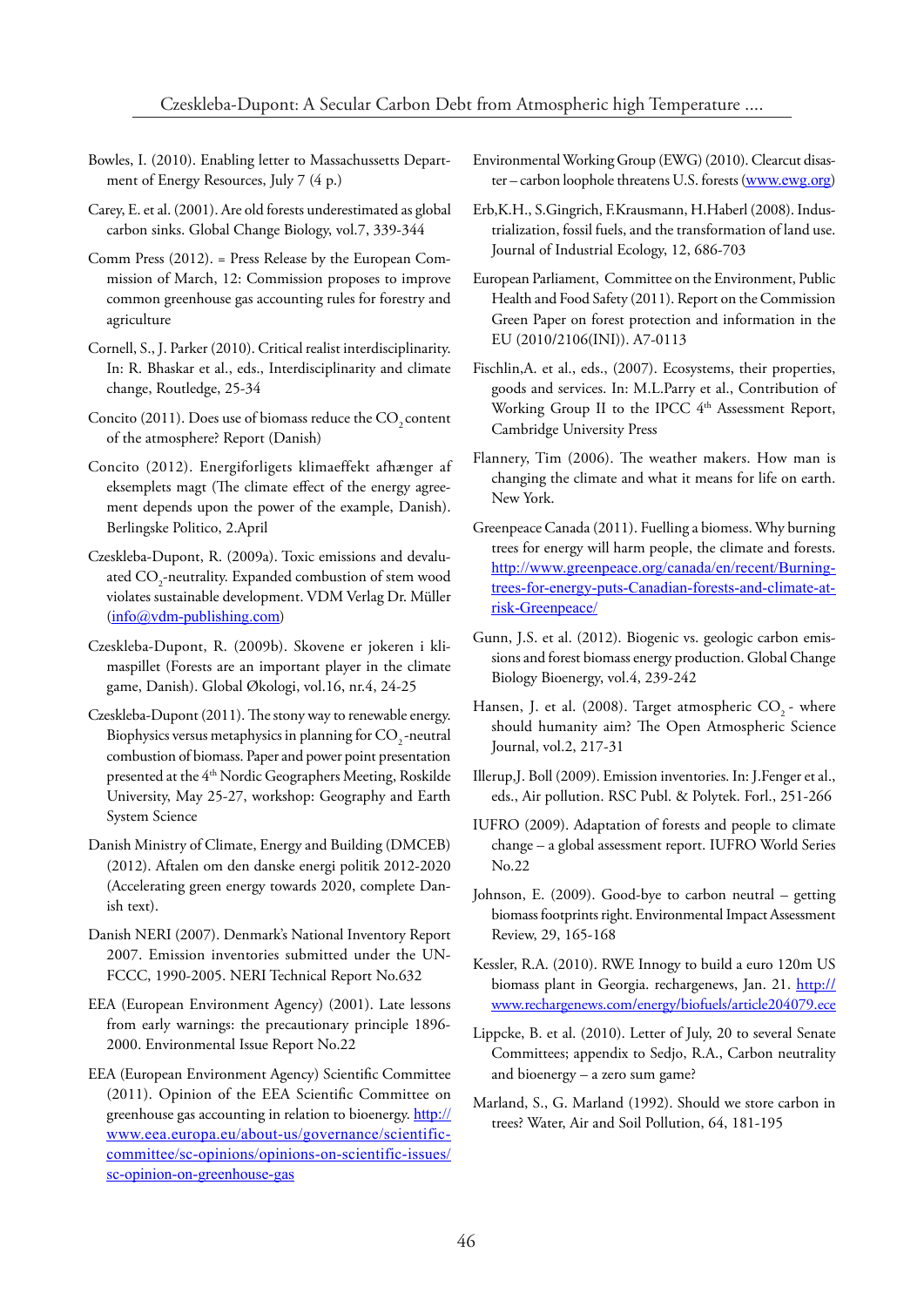- Bowles, I. (2010). Enabling letter to Massachussetts Department of Energy Resources, July 7 (4 p.)
- Carey, E. et al. (2001). Are old forests underestimated as global carbon sinks. Global Change Biology, vol.7, 339-344
- Comm Press (2012). = Press Release by the European Commission of March, 12: Commission proposes to improve common greenhouse gas accounting rules for forestry and agriculture
- Cornell, S., J. Parker (2010). Critical realist interdisciplinarity. In: R. Bhaskar et al., eds., Interdisciplinarity and climate change, Routledge, 25-34
- Concito (2011). Does use of biomass reduce the  $CO<sub>2</sub>$  content of the atmosphere? Report (Danish)
- Concito (2012). Energiforligets klimaeffekt afhænger af eksemplets magt (The climate effect of the energy agreement depends upon the power of the example, Danish). Berlingske Politico, 2.April
- Czeskleba-Dupont, R. (2009a). Toxic emissions and devaluated CO<sub>2</sub>-neutrality. Expanded combustion of stem wood violates sustainable development. VDM Verlag Dr. Müller (info@vdm-publishing.com)
- Czeskleba-Dupont, R. (2009b). Skovene er jokeren i klimaspillet (Forests are an important player in the climate game, Danish). Global Økologi, vol.16, nr.4, 24-25
- Czeskleba-Dupont (2011). The stony way to renewable energy. Biophysics versus metaphysics in planning for CO<sub>2</sub>-neutral combustion of biomass. Paper and power point presentation presented at the 4<sup>th</sup> Nordic Geographers Meeting, Roskilde University, May 25-27, workshop: Geography and Earth System Science
- Danish Ministry of Climate, Energy and Building (DMCEB) (2012). Aftalen om den danske energi politik 2012-2020 (Accelerating green energy towards 2020, complete Danish text).
- Danish NERI (2007). Denmark's National Inventory Report 2007. Emission inventories submitted under the UN-FCCC, 1990-2005. NERI Technical Report No.632
- EEA (European Environment Agency) (2001). Late lessons from early warnings: the precautionary principle 1896- 2000. Environmental Issue Report No.22
- EEA (European Environment Agency) Scientific Committee (2011). Opinion of the EEA Scientific Committee on greenhouse gas accounting in relation to bioenergy. http:// www.eea.europa.eu/about-us/governance/scientificcommittee/sc-opinions/opinions-on-scientific-issues/ sc-opinion-on-greenhouse-gas
- Environmental Working Group (EWG) (2010). Clearcut disaster – carbon loophole threatens U.S. forests (www.ewg.org)
- Erb,K.H., S.Gingrich, F.Krausmann, H.Haberl (2008). Industrialization, fossil fuels, and the transformation of land use. Journal of Industrial Ecology, 12, 686-703
- European Parliament, Committee on the Environment, Public Health and Food Safety (2011). Report on the Commission Green Paper on forest protection and information in the EU (2010/2106(INI)). A7-0113
- Fischlin,A. et al., eds., (2007). Ecosystems, their properties, goods and services. In: M.L.Parry et al., Contribution of Working Group II to the IPCC 4<sup>th</sup> Assessment Report, Cambridge University Press
- Flannery, Tim (2006). The weather makers. How man is changing the climate and what it means for life on earth. New York.
- Greenpeace Canada (2011). Fuelling a biomess. Why burning trees for energy will harm people, the climate and forests. http://www.greenpeace.org/canada/en/recent/Burningtrees-for-energy-puts-Canadian-forests-and-climate-atrisk-Greenpeace/
- Gunn, J.S. et al. (2012). Biogenic vs. geologic carbon emissions and forest biomass energy production. Global Change Biology Bioenergy, vol.4, 239-242
- Hansen, J. et al. (2008). Target atmospheric  $CO<sub>2</sub>$  where should humanity aim? The Open Atmospheric Science Journal, vol.2, 217-31
- Illerup,J. Boll (2009). Emission inventories. In: J.Fenger et al., eds., Air pollution. RSC Publ. & Polytek. Forl., 251-266
- IUFRO (2009). Adaptation of forests and people to climate change – a global assessment report. IUFRO World Series No.22
- Johnson, E. (2009). Good-bye to carbon neutral getting biomass footprints right. Environmental Impact Assessment Review, 29, 165-168
- Kessler, R.A. (2010). RWE Innogy to build a euro 120m US biomass plant in Georgia. rechargenews, Jan. 21. http:// www.rechargenews.com/energy/biofuels/article204079.ece
- Lippcke, B. et al. (2010). Letter of July, 20 to several Senate Committees; appendix to Sedjo, R.A., Carbon neutrality and bioenergy – a zero sum game?
- Marland, S., G. Marland (1992). Should we store carbon in trees? Water, Air and Soil Pollution, 64, 181-195